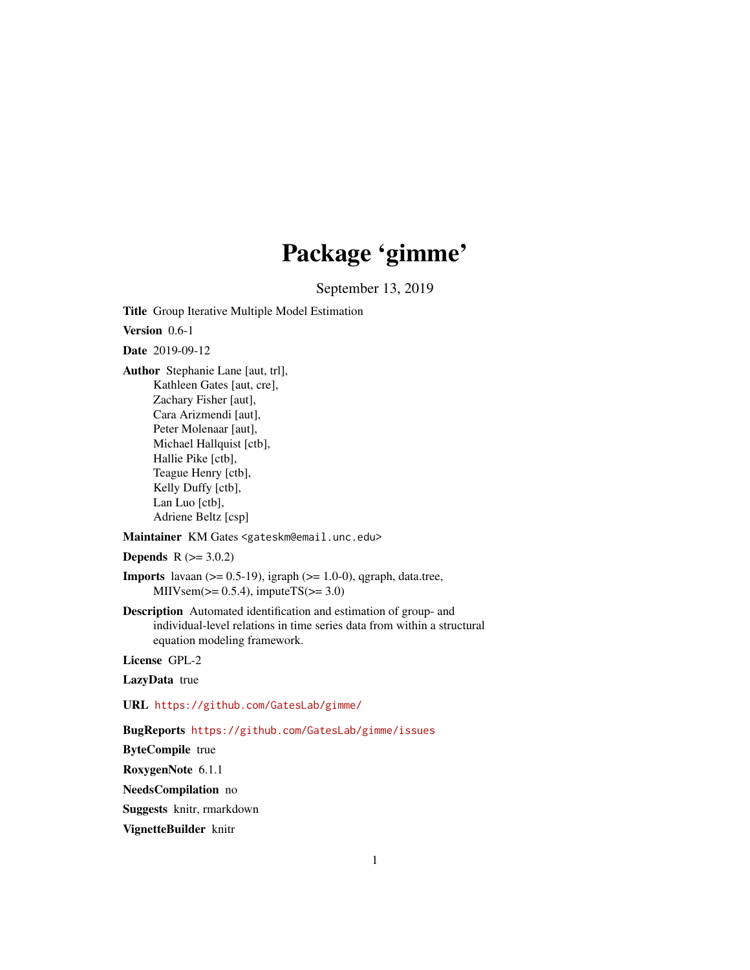# Package 'gimme'

September 13, 2019

Title Group Iterative Multiple Model Estimation

Version 0.6-1

Date 2019-09-12

Author Stephanie Lane [aut, trl], Kathleen Gates [aut, cre], Zachary Fisher [aut], Cara Arizmendi [aut], Peter Molenaar [aut], Michael Hallquist [ctb], Hallie Pike [ctb], Teague Henry [ctb], Kelly Duffy [ctb], Lan Luo [ctb], Adriene Beltz [csp]

Maintainer KM Gates <gateskm@email.unc.edu>

**Depends**  $R (= 3.0.2)$ 

- **Imports** lavaan  $(>= 0.5-19)$ , igraph  $(>= 1.0-0)$ , qgraph, data.tree, MIIVsem( $>= 0.5.4$ ), imputeTS( $>= 3.0$ )
- Description Automated identification and estimation of group- and individual-level relations in time series data from within a structural equation modeling framework.

License GPL-2

LazyData true

URL <https://github.com/GatesLab/gimme/>

BugReports <https://github.com/GatesLab/gimme/issues>

ByteCompile true

RoxygenNote 6.1.1

NeedsCompilation no

Suggests knitr, rmarkdown

VignetteBuilder knitr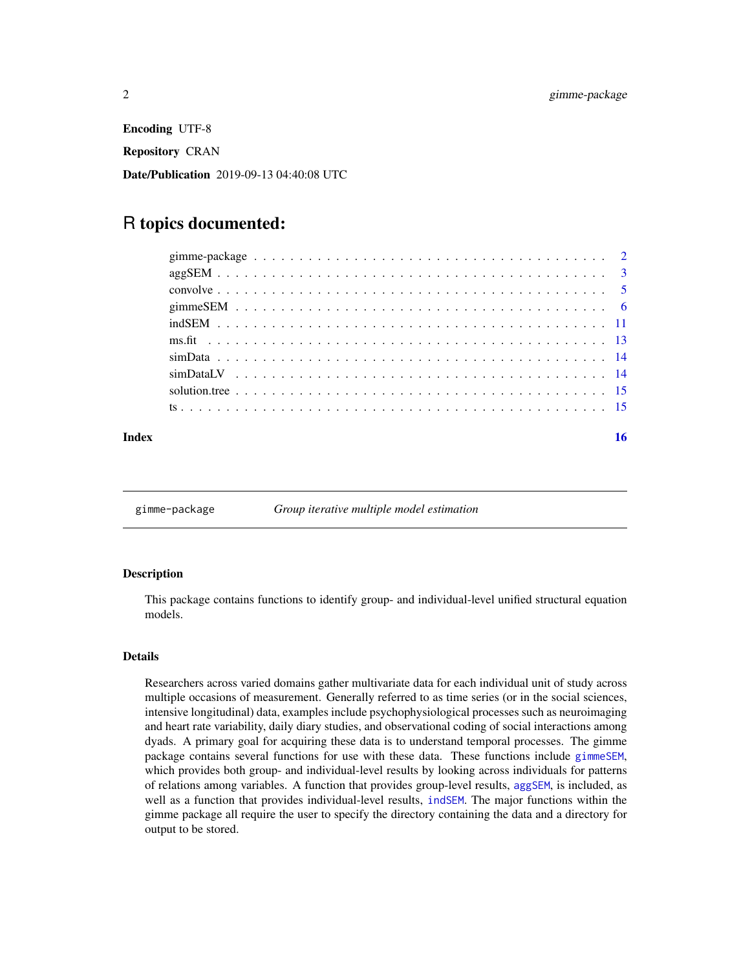<span id="page-1-0"></span>Encoding UTF-8 Repository CRAN Date/Publication 2019-09-13 04:40:08 UTC

# R topics documented:

| Index |  |  |  |  |  |  |  |  |  |  |  |  |  |  |  |  |  | 16 |
|-------|--|--|--|--|--|--|--|--|--|--|--|--|--|--|--|--|--|----|
|       |  |  |  |  |  |  |  |  |  |  |  |  |  |  |  |  |  |    |
|       |  |  |  |  |  |  |  |  |  |  |  |  |  |  |  |  |  |    |
|       |  |  |  |  |  |  |  |  |  |  |  |  |  |  |  |  |  |    |
|       |  |  |  |  |  |  |  |  |  |  |  |  |  |  |  |  |  |    |
|       |  |  |  |  |  |  |  |  |  |  |  |  |  |  |  |  |  |    |
|       |  |  |  |  |  |  |  |  |  |  |  |  |  |  |  |  |  |    |
|       |  |  |  |  |  |  |  |  |  |  |  |  |  |  |  |  |  |    |
|       |  |  |  |  |  |  |  |  |  |  |  |  |  |  |  |  |  |    |
|       |  |  |  |  |  |  |  |  |  |  |  |  |  |  |  |  |  |    |
|       |  |  |  |  |  |  |  |  |  |  |  |  |  |  |  |  |  |    |

gimme-package *Group iterative multiple model estimation*

# **Description**

This package contains functions to identify group- and individual-level unified structural equation models.

#### Details

Researchers across varied domains gather multivariate data for each individual unit of study across multiple occasions of measurement. Generally referred to as time series (or in the social sciences, intensive longitudinal) data, examples include psychophysiological processes such as neuroimaging and heart rate variability, daily diary studies, and observational coding of social interactions among dyads. A primary goal for acquiring these data is to understand temporal processes. The gimme package contains several functions for use with these data. These functions include [gimmeSEM](#page-5-1), which provides both group- and individual-level results by looking across individuals for patterns of relations among variables. A function that provides group-level results, [aggSEM](#page-2-1), is included, as well as a function that provides individual-level results, [indSEM](#page-10-1). The major functions within the gimme package all require the user to specify the directory containing the data and a directory for output to be stored.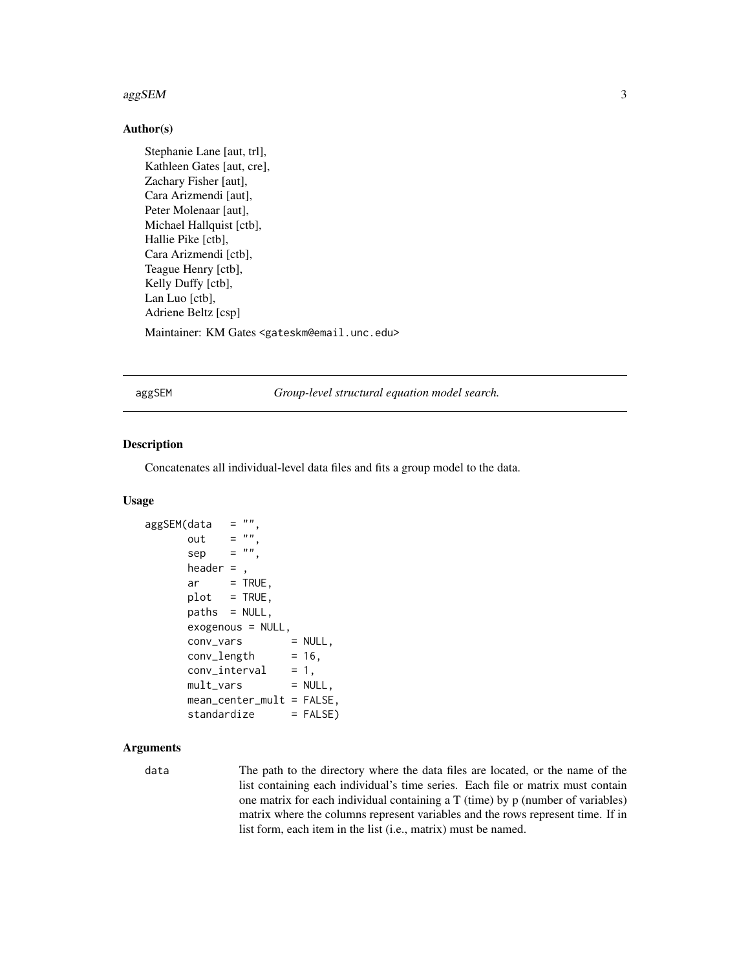#### <span id="page-2-0"></span> $\log$ SEM 3

# Author(s)

```
Stephanie Lane [aut, trl],
Kathleen Gates [aut, cre],
Zachary Fisher [aut],
Cara Arizmendi [aut],
Peter Molenaar [aut],
Michael Hallquist [ctb],
Hallie Pike [ctb],
Cara Arizmendi [ctb],
Teague Henry [ctb],
Kelly Duffy [ctb],
Lan Luo [ctb],
Adriene Beltz [csp]
Maintainer: KM Gates <gateskm@email.unc.edu>
```
<span id="page-2-1"></span>aggSEM *Group-level structural equation model search.*

# Description

Concatenates all individual-level data files and fits a group model to the data.

# Usage

```
aggSEM(data = "",out = "sep = "",header = ,
      ar = TRUE,plot = TRUE,paths = NULL,
      exogenous = NULL,<br>
conv\_vars = NULL,conv_vars
      conv_length = 16,
      conv\_interval = 1,
      mult\_vars = NULL,mean_center_mult = FALSE,
      standardize = FALSE)
```
# Arguments

data The path to the directory where the data files are located, or the name of the list containing each individual's time series. Each file or matrix must contain one matrix for each individual containing a T (time) by p (number of variables) matrix where the columns represent variables and the rows represent time. If in list form, each item in the list (i.e., matrix) must be named.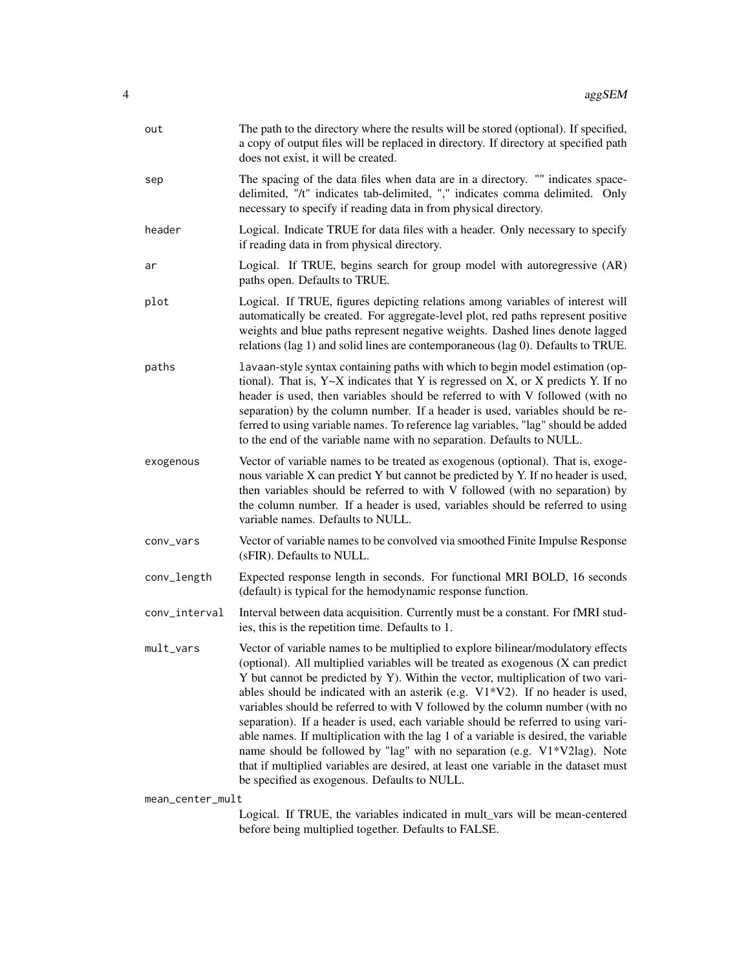| out                                                                                            | The path to the directory where the results will be stored (optional). If specified,<br>a copy of output files will be replaced in directory. If directory at specified path<br>does not exist, it will be created.                                                                                                                                                                                                                                                                                                                                                                                                                                                                                                                                                                                                          |  |  |  |  |  |
|------------------------------------------------------------------------------------------------|------------------------------------------------------------------------------------------------------------------------------------------------------------------------------------------------------------------------------------------------------------------------------------------------------------------------------------------------------------------------------------------------------------------------------------------------------------------------------------------------------------------------------------------------------------------------------------------------------------------------------------------------------------------------------------------------------------------------------------------------------------------------------------------------------------------------------|--|--|--|--|--|
| sep                                                                                            | The spacing of the data files when data are in a directory. "" indicates space-<br>delimited, "/t" indicates tab-delimited, "," indicates comma delimited. Only<br>necessary to specify if reading data in from physical directory.                                                                                                                                                                                                                                                                                                                                                                                                                                                                                                                                                                                          |  |  |  |  |  |
| header                                                                                         | Logical. Indicate TRUE for data files with a header. Only necessary to specify<br>if reading data in from physical directory.                                                                                                                                                                                                                                                                                                                                                                                                                                                                                                                                                                                                                                                                                                |  |  |  |  |  |
| ar                                                                                             | Logical. If TRUE, begins search for group model with autoregressive (AR)<br>paths open. Defaults to TRUE.                                                                                                                                                                                                                                                                                                                                                                                                                                                                                                                                                                                                                                                                                                                    |  |  |  |  |  |
| plot                                                                                           | Logical. If TRUE, figures depicting relations among variables of interest will<br>automatically be created. For aggregate-level plot, red paths represent positive<br>weights and blue paths represent negative weights. Dashed lines denote lagged<br>relations (lag 1) and solid lines are contemporaneous (lag 0). Defaults to TRUE.                                                                                                                                                                                                                                                                                                                                                                                                                                                                                      |  |  |  |  |  |
| paths                                                                                          | lavaan-style syntax containing paths with which to begin model estimation (op-<br>tional). That is, $Y \sim X$ indicates that Y is regressed on X, or X predicts Y. If no<br>header is used, then variables should be referred to with V followed (with no<br>separation) by the column number. If a header is used, variables should be re-<br>ferred to using variable names. To reference lag variables, "lag" should be added<br>to the end of the variable name with no separation. Defaults to NULL.                                                                                                                                                                                                                                                                                                                   |  |  |  |  |  |
| exogenous                                                                                      | Vector of variable names to be treated as exogenous (optional). That is, exoge-<br>nous variable X can predict Y but cannot be predicted by Y. If no header is used,<br>then variables should be referred to with V followed (with no separation) by<br>the column number. If a header is used, variables should be referred to using<br>variable names. Defaults to NULL.                                                                                                                                                                                                                                                                                                                                                                                                                                                   |  |  |  |  |  |
| conv_vars                                                                                      | Vector of variable names to be convolved via smoothed Finite Impulse Response<br>(sFIR). Defaults to NULL.                                                                                                                                                                                                                                                                                                                                                                                                                                                                                                                                                                                                                                                                                                                   |  |  |  |  |  |
| conv_length                                                                                    | Expected response length in seconds. For functional MRI BOLD, 16 seconds<br>(default) is typical for the hemodynamic response function.                                                                                                                                                                                                                                                                                                                                                                                                                                                                                                                                                                                                                                                                                      |  |  |  |  |  |
| conv_interval                                                                                  | Interval between data acquisition. Currently must be a constant. For fMRI stud-<br>ies, this is the repetition time. Defaults to 1.                                                                                                                                                                                                                                                                                                                                                                                                                                                                                                                                                                                                                                                                                          |  |  |  |  |  |
| mult_vars                                                                                      | Vector of variable names to be multiplied to explore bilinear/modulatory effects<br>(optional). All multiplied variables will be treated as exogenous (X can predict<br>Y but cannot be predicted by Y). Within the vector, multiplication of two vari-<br>ables should be indicated with an asterik (e.g. $V1*V2$ ). If no header is used,<br>variables should be referred to with V followed by the column number (with no<br>separation). If a header is used, each variable should be referred to using vari-<br>able names. If multiplication with the lag 1 of a variable is desired, the variable<br>name should be followed by "lag" with no separation (e.g. V1*V2lag). Note<br>that if multiplied variables are desired, at least one variable in the dataset must<br>be specified as exogenous. Defaults to NULL. |  |  |  |  |  |
| mean_center_mult<br>Logical If TDUE the variables indicated in mult vers will be mean centered |                                                                                                                                                                                                                                                                                                                                                                                                                                                                                                                                                                                                                                                                                                                                                                                                                              |  |  |  |  |  |

Logical. If TRUE, the variables indicated in mult\_vars will be mean-centered before being multiplied together. Defaults to FALSE.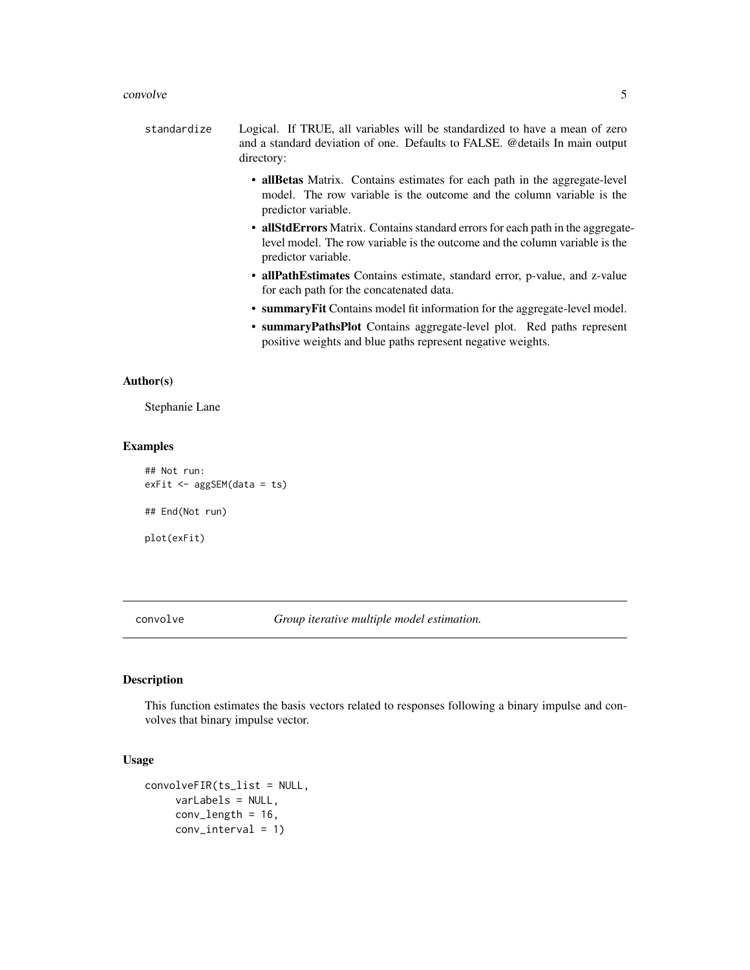#### <span id="page-4-0"></span>convolve 5

- standardize Logical. If TRUE, all variables will be standardized to have a mean of zero and a standard deviation of one. Defaults to FALSE. @details In main output directory:
	- allBetas Matrix. Contains estimates for each path in the aggregate-level model. The row variable is the outcome and the column variable is the predictor variable.
	- allStdErrors Matrix. Contains standard errors for each path in the aggregatelevel model. The row variable is the outcome and the column variable is the predictor variable.
	- allPathEstimates Contains estimate, standard error, p-value, and z-value for each path for the concatenated data.
	- summaryFit Contains model fit information for the aggregate-level model.
	- summaryPathsPlot Contains aggregate-level plot. Red paths represent positive weights and blue paths represent negative weights.

# Author(s)

Stephanie Lane

# Examples

```
## Not run:
exFit <- aggSEM(data = ts)
## End(Not run)
plot(exFit)
```
convolve *Group iterative multiple model estimation.*

# **Description**

This function estimates the basis vectors related to responses following a binary impulse and convolves that binary impulse vector.

# Usage

```
convolveFIR(ts_list = NULL,
     varLabels = NULL,
     conv_length = 16,
     conv_interval = 1)
```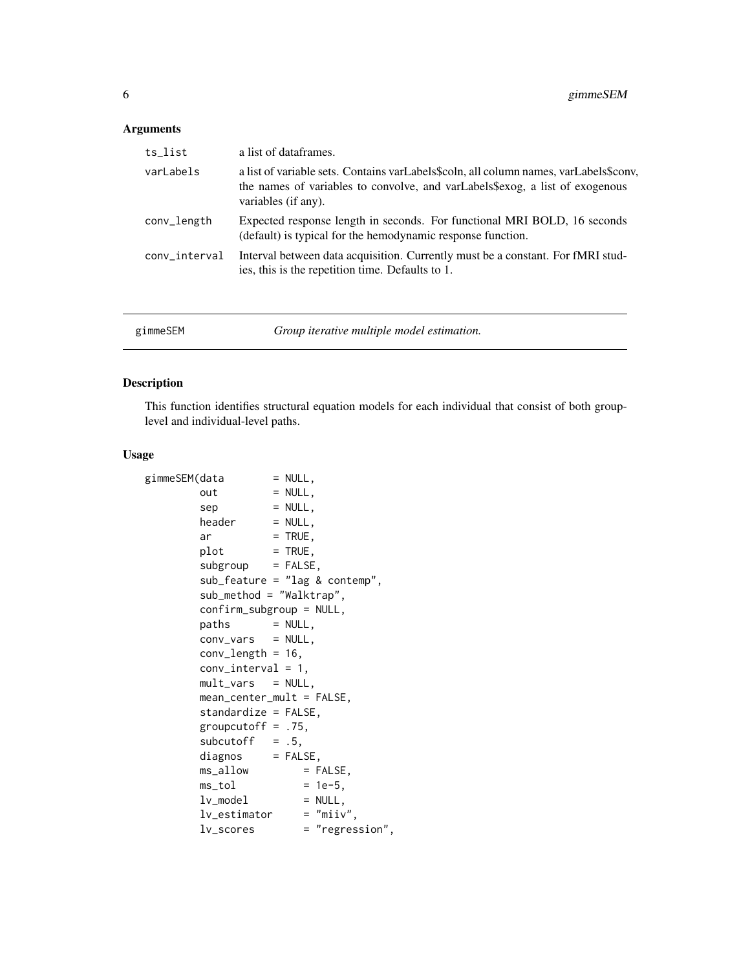# <span id="page-5-0"></span>Arguments

| ts_list       | a list of dataframes.                                                                                                                                                                        |
|---------------|----------------------------------------------------------------------------------------------------------------------------------------------------------------------------------------------|
| varLabels     | a list of variable sets. Contains varLabels\$coln, all column names, varLabels\$conv,<br>the names of variables to convolve, and varLabels\$exog, a list of exogenous<br>variables (if any). |
| conv_length   | Expected response length in seconds. For functional MRI BOLD, 16 seconds<br>(default) is typical for the hemodynamic response function.                                                      |
| conv_interval | Interval between data acquisition. Currently must be a constant. For fMRI stud-<br>ies, this is the repetition time. Defaults to 1.                                                          |
|               |                                                                                                                                                                                              |

<span id="page-5-1"></span>

| gimmeSEM<br>Group iterative multiple model estimation. |  |
|--------------------------------------------------------|--|
|--------------------------------------------------------|--|

# Description

This function identifies structural equation models for each individual that consist of both grouplevel and individual-level paths.

# Usage

| gimmeSEM(data |                                   | $=$ NULL, |                 |
|---------------|-----------------------------------|-----------|-----------------|
|               | out                               | $= NULL,$ |                 |
|               | sep                               | $= NULL,$ |                 |
|               | $header = NULL,$                  |           |                 |
|               | ar                                | $=$ TRUE, |                 |
|               | $=$ TRUE,<br>plot                 |           |                 |
|               | $subgroup = FALSE,$               |           |                 |
|               | $sub_f$ eature = "lag & contemp", |           |                 |
|               | $sub\_method = "Walktrap",$       |           |                 |
|               | $confirm\_subgroup = NULL,$       |           |                 |
|               | $paths = NULL,$                   |           |                 |
|               | $conv_vars = NULL$ ,              |           |                 |
|               | $conv_length = 16,$               |           |                 |
|               | $conv\_interval = 1$ ,            |           |                 |
|               | $mult\_vars = NULL,$              |           |                 |
|               | $mean_center_mult = FALSE,$       |           |                 |
|               | $standardize = FALSE,$            |           |                 |
|               | groupcutoff = $.75$ ,             |           |                 |
|               | subcutoff $= .5,$                 |           |                 |
|               | $diagnos$ = $FALSE,$              |           |                 |
|               | ms_allow                          |           | $=$ FALSE,      |
|               | ms_tol                            |           | $= 1e-5$ ,      |
|               | lv_model                          |           | $= NULL,$       |
|               | $lv\_estimator = "miiv",$         |           |                 |
|               | lv_scores                         |           | = "regression", |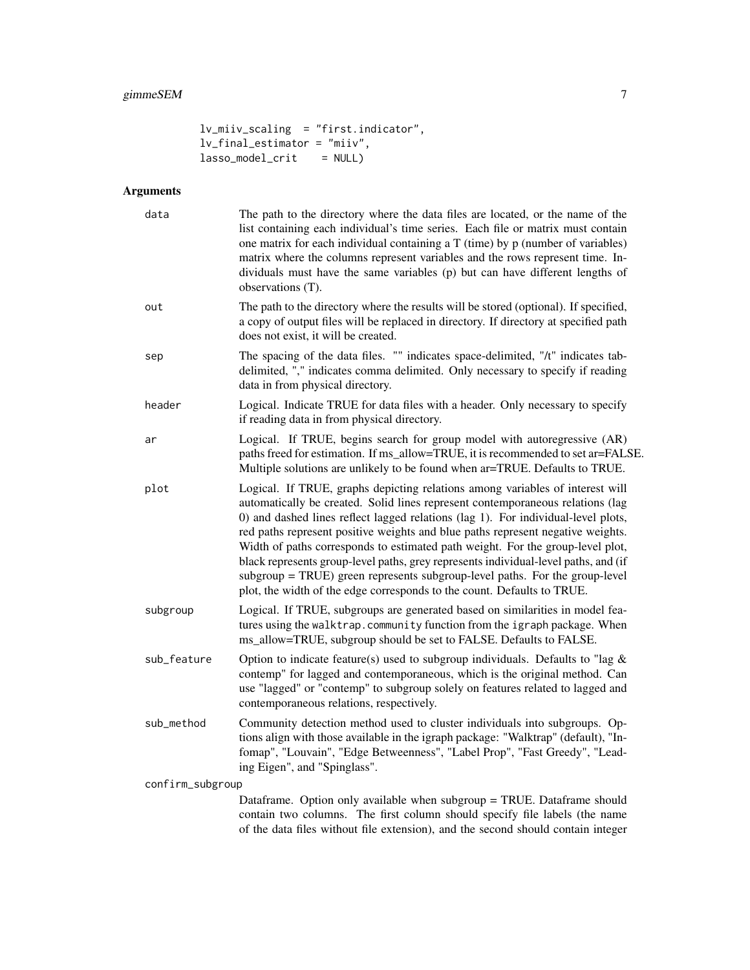```
lv_miiv_scaling = "first.indicator",
lv_final_estimator = "miiv",
lasso_model_crit = NULL
```
# Arguments

| data             | The path to the directory where the data files are located, or the name of the<br>list containing each individual's time series. Each file or matrix must contain<br>one matrix for each individual containing a $T$ (time) by $p$ (number of variables)<br>matrix where the columns represent variables and the rows represent time. In-<br>dividuals must have the same variables (p) but can have different lengths of<br>observations (T).                                                                                                                                                                                                                             |
|------------------|----------------------------------------------------------------------------------------------------------------------------------------------------------------------------------------------------------------------------------------------------------------------------------------------------------------------------------------------------------------------------------------------------------------------------------------------------------------------------------------------------------------------------------------------------------------------------------------------------------------------------------------------------------------------------|
| out              | The path to the directory where the results will be stored (optional). If specified,<br>a copy of output files will be replaced in directory. If directory at specified path<br>does not exist, it will be created.                                                                                                                                                                                                                                                                                                                                                                                                                                                        |
| sep              | The spacing of the data files. "" indicates space-delimited, "/t" indicates tab-<br>delimited, "," indicates comma delimited. Only necessary to specify if reading<br>data in from physical directory.                                                                                                                                                                                                                                                                                                                                                                                                                                                                     |
| header           | Logical. Indicate TRUE for data files with a header. Only necessary to specify<br>if reading data in from physical directory.                                                                                                                                                                                                                                                                                                                                                                                                                                                                                                                                              |
| ar               | Logical. If TRUE, begins search for group model with autoregressive (AR)<br>paths freed for estimation. If ms_allow=TRUE, it is recommended to set ar=FALSE.<br>Multiple solutions are unlikely to be found when ar=TRUE. Defaults to TRUE.                                                                                                                                                                                                                                                                                                                                                                                                                                |
| plot             | Logical. If TRUE, graphs depicting relations among variables of interest will<br>automatically be created. Solid lines represent contemporaneous relations (lag<br>0) and dashed lines reflect lagged relations (lag 1). For individual-level plots,<br>red paths represent positive weights and blue paths represent negative weights.<br>Width of paths corresponds to estimated path weight. For the group-level plot,<br>black represents group-level paths, grey represents individual-level paths, and (if<br>subgroup = TRUE) green represents subgroup-level paths. For the group-level<br>plot, the width of the edge corresponds to the count. Defaults to TRUE. |
| subgroup         | Logical. If TRUE, subgroups are generated based on similarities in model fea-<br>tures using the walktrap.community function from the igraph package. When<br>ms_allow=TRUE, subgroup should be set to FALSE. Defaults to FALSE.                                                                                                                                                                                                                                                                                                                                                                                                                                           |
| sub_feature      | Option to indicate feature(s) used to subgroup individuals. Defaults to "lag $\&$<br>contemp" for lagged and contemporaneous, which is the original method. Can<br>use "lagged" or "contemp" to subgroup solely on features related to lagged and<br>contemporaneous relations, respectively.                                                                                                                                                                                                                                                                                                                                                                              |
| sub_method       | Community detection method used to cluster individuals into subgroups. Op-<br>tions align with those available in the igraph package: "Walktrap" (default), "In-<br>fomap", "Louvain", "Edge Betweenness", "Label Prop", "Fast Greedy", "Lead-<br>ing Eigen", and "Spinglass".                                                                                                                                                                                                                                                                                                                                                                                             |
| confirm_subgroup |                                                                                                                                                                                                                                                                                                                                                                                                                                                                                                                                                                                                                                                                            |
|                  | Dataframe. Option only available when subgroup = TRUE. Dataframe should<br>contain two columns. The first column should specify file labels (the name<br>of the data files without file extension), and the second should contain integer                                                                                                                                                                                                                                                                                                                                                                                                                                  |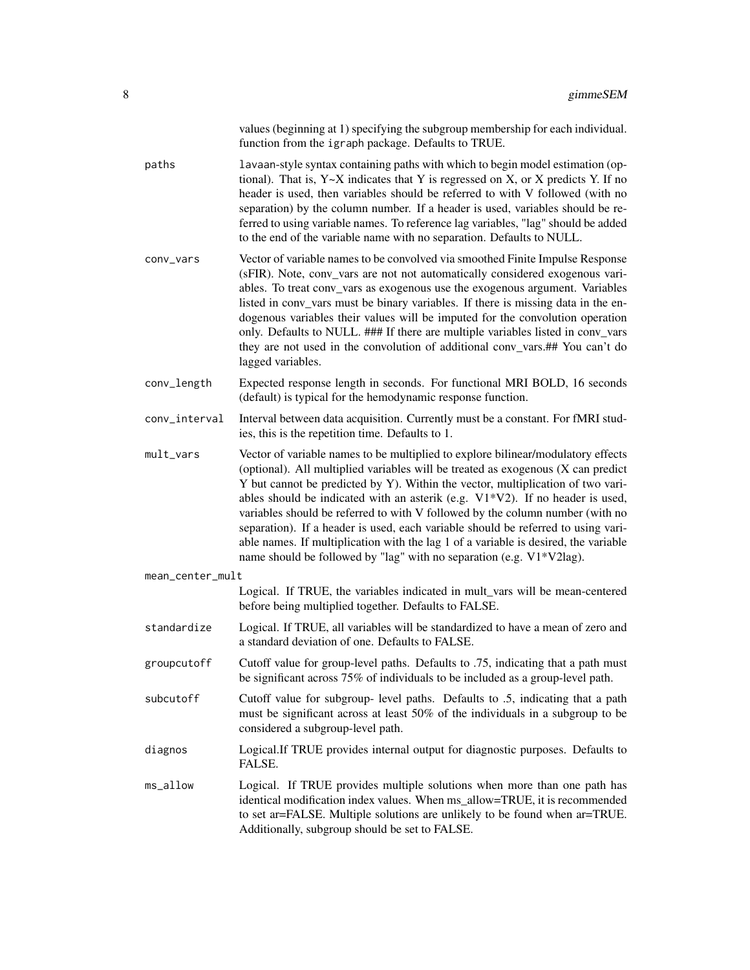|                  | values (beginning at 1) specifying the subgroup membership for each individual.<br>function from the igraph package. Defaults to TRUE.                                                                                                                                                                                                                                                                                                                                                                                                                                                                                                                                           |
|------------------|----------------------------------------------------------------------------------------------------------------------------------------------------------------------------------------------------------------------------------------------------------------------------------------------------------------------------------------------------------------------------------------------------------------------------------------------------------------------------------------------------------------------------------------------------------------------------------------------------------------------------------------------------------------------------------|
| paths            | lavaan-style syntax containing paths with which to begin model estimation (op-<br>tional). That is, $Y \sim X$ indicates that Y is regressed on X, or X predicts Y. If no<br>header is used, then variables should be referred to with V followed (with no<br>separation) by the column number. If a header is used, variables should be re-<br>ferred to using variable names. To reference lag variables, "lag" should be added<br>to the end of the variable name with no separation. Defaults to NULL.                                                                                                                                                                       |
| conv_vars        | Vector of variable names to be convolved via smoothed Finite Impulse Response<br>(sFIR). Note, conv_vars are not not automatically considered exogenous vari-<br>ables. To treat conv_vars as exogenous use the exogenous argument. Variables<br>listed in conv_vars must be binary variables. If there is missing data in the en-<br>dogenous variables their values will be imputed for the convolution operation<br>only. Defaults to NULL. ### If there are multiple variables listed in conv_vars<br>they are not used in the convolution of additional conv_vars.## You can't do<br>lagged variables.                                                                      |
| conv_length      | Expected response length in seconds. For functional MRI BOLD, 16 seconds<br>(default) is typical for the hemodynamic response function.                                                                                                                                                                                                                                                                                                                                                                                                                                                                                                                                          |
| conv_interval    | Interval between data acquisition. Currently must be a constant. For fMRI stud-<br>ies, this is the repetition time. Defaults to 1.                                                                                                                                                                                                                                                                                                                                                                                                                                                                                                                                              |
| mult_vars        | Vector of variable names to be multiplied to explore bilinear/modulatory effects<br>(optional). All multiplied variables will be treated as exogenous (X can predict<br>Y but cannot be predicted by Y). Within the vector, multiplication of two vari-<br>ables should be indicated with an asterik (e.g. $V1*V2$ ). If no header is used,<br>variables should be referred to with V followed by the column number (with no<br>separation). If a header is used, each variable should be referred to using vari-<br>able names. If multiplication with the lag 1 of a variable is desired, the variable<br>name should be followed by "lag" with no separation (e.g. V1*V2lag). |
| mean_center_mult |                                                                                                                                                                                                                                                                                                                                                                                                                                                                                                                                                                                                                                                                                  |
|                  | Logical. If TRUE, the variables indicated in mult_vars will be mean-centered<br>before being multiplied together. Defaults to FALSE.                                                                                                                                                                                                                                                                                                                                                                                                                                                                                                                                             |
| standardize      | Logical. If TRUE, all variables will be standardized to have a mean of zero and<br>a standard deviation of one. Defaults to FALSE.                                                                                                                                                                                                                                                                                                                                                                                                                                                                                                                                               |
| groupcutoff      | Cutoff value for group-level paths. Defaults to .75, indicating that a path must<br>be significant across 75% of individuals to be included as a group-level path.                                                                                                                                                                                                                                                                                                                                                                                                                                                                                                               |
| subcutoff        | Cutoff value for subgroup- level paths. Defaults to .5, indicating that a path<br>must be significant across at least 50% of the individuals in a subgroup to be<br>considered a subgroup-level path.                                                                                                                                                                                                                                                                                                                                                                                                                                                                            |
| diagnos          | Logical.If TRUE provides internal output for diagnostic purposes. Defaults to<br>FALSE.                                                                                                                                                                                                                                                                                                                                                                                                                                                                                                                                                                                          |
| ms_allow         | Logical. If TRUE provides multiple solutions when more than one path has<br>identical modification index values. When ms_allow=TRUE, it is recommended<br>to set ar=FALSE. Multiple solutions are unlikely to be found when ar=TRUE.<br>Additionally, subgroup should be set to FALSE.                                                                                                                                                                                                                                                                                                                                                                                           |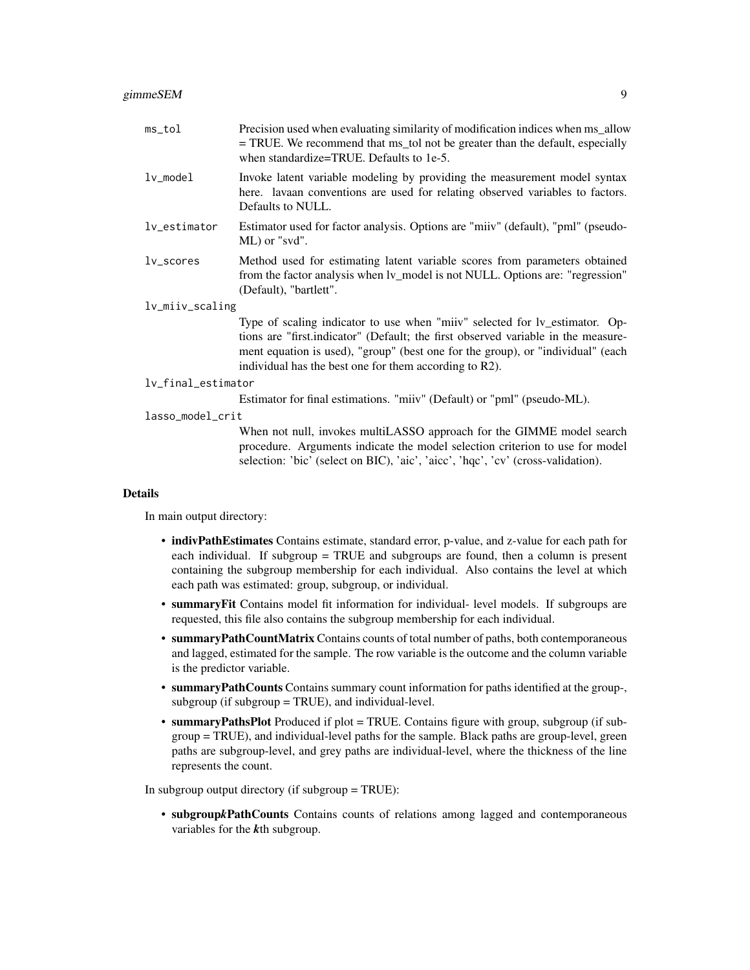### gimmeSEM 9

| ms_tol             | Precision used when evaluating similarity of modification indices when ms_allow<br>= TRUE. We recommend that ms_tol not be greater than the default, especially<br>when standardize=TRUE. Defaults to 1e-5.                                                                                                   |
|--------------------|---------------------------------------------------------------------------------------------------------------------------------------------------------------------------------------------------------------------------------------------------------------------------------------------------------------|
| $lv$ _mode $l$     | Invoke latent variable modeling by providing the measurement model syntax<br>here. lavaan conventions are used for relating observed variables to factors.<br>Defaults to NULL.                                                                                                                               |
| lv_estimator       | Estimator used for factor analysis. Options are "miiv" (default), "pml" (pseudo-<br>ML) or "svd".                                                                                                                                                                                                             |
| lv_scores          | Method used for estimating latent variable scores from parameters obtained<br>from the factor analysis when lv_model is not NULL. Options are: "regression"<br>(Default), "bartlett".                                                                                                                         |
| lv_miiv_scaling    |                                                                                                                                                                                                                                                                                                               |
|                    | Type of scaling indicator to use when "miiv" selected for lv_estimator. Op-<br>tions are "first indicator" (Default; the first observed variable in the measure-<br>ment equation is used), "group" (best one for the group), or "individual" (each<br>individual has the best one for them according to R2). |
| lv_final_estimator |                                                                                                                                                                                                                                                                                                               |
|                    | Estimator for final estimations. "miiv" (Default) or "pml" (pseudo-ML).                                                                                                                                                                                                                                       |
| lasso_model_crit   |                                                                                                                                                                                                                                                                                                               |
|                    | When not null, invokes multiLASSO approach for the GIMME model search<br>procedure. Arguments indicate the model selection criterion to use for model                                                                                                                                                         |

selection: 'bic' (select on BIC), 'aic', 'aicc', 'hqc', 'cv' (cross-validation).

# Details

In main output directory:

- indivPathEstimates Contains estimate, standard error, p-value, and z-value for each path for each individual. If subgroup = TRUE and subgroups are found, then a column is present containing the subgroup membership for each individual. Also contains the level at which each path was estimated: group, subgroup, or individual.
- summaryFit Contains model fit information for individual- level models. If subgroups are requested, this file also contains the subgroup membership for each individual.
- summaryPathCountMatrix Contains counts of total number of paths, both contemporaneous and lagged, estimated for the sample. The row variable is the outcome and the column variable is the predictor variable.
- summaryPathCounts Contains summary count information for paths identified at the group-, subgroup (if subgroup  $=$  TRUE), and individual-level.
- summaryPathsPlot Produced if plot = TRUE. Contains figure with group, subgroup (if subgroup = TRUE), and individual-level paths for the sample. Black paths are group-level, green paths are subgroup-level, and grey paths are individual-level, where the thickness of the line represents the count.

In subgroup output directory (if subgroup = TRUE):

• subgroup*k*PathCounts Contains counts of relations among lagged and contemporaneous variables for the *k*th subgroup.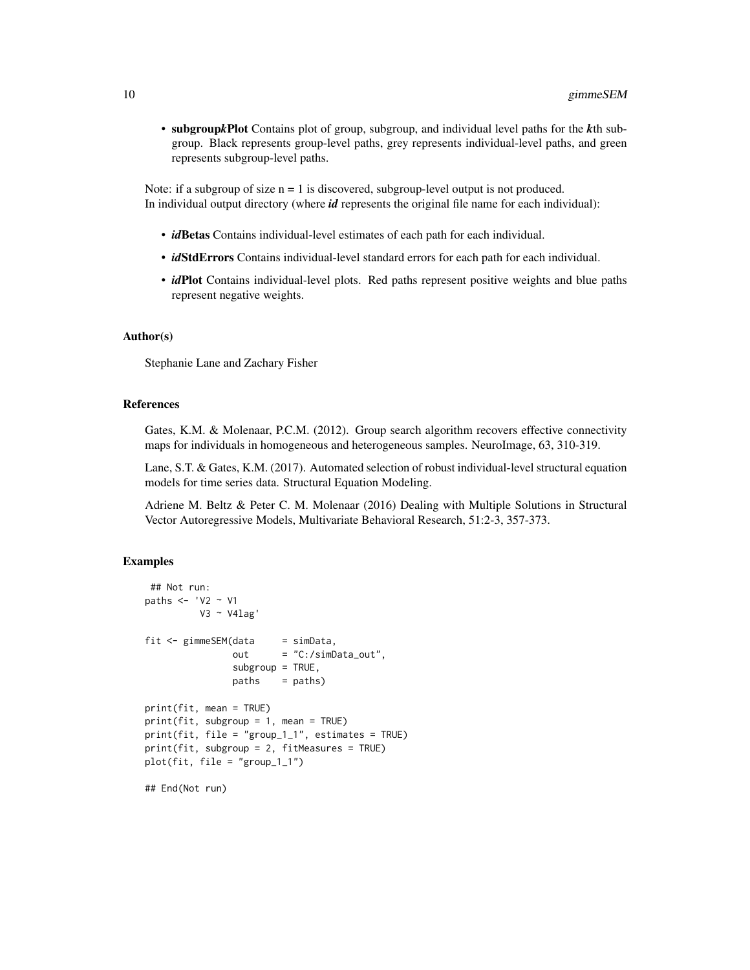• subgroup*k*Plot Contains plot of group, subgroup, and individual level paths for the *k*th subgroup. Black represents group-level paths, grey represents individual-level paths, and green represents subgroup-level paths.

Note: if a subgroup of size  $n = 1$  is discovered, subgroup-level output is not produced. In individual output directory (where *id* represents the original file name for each individual):

- *id*Betas Contains individual-level estimates of each path for each individual.
- *idStdErrors* Contains individual-level standard errors for each path for each individual.
- *id*Plot Contains individual-level plots. Red paths represent positive weights and blue paths represent negative weights.

# Author(s)

Stephanie Lane and Zachary Fisher

# References

Gates, K.M. & Molenaar, P.C.M. (2012). Group search algorithm recovers effective connectivity maps for individuals in homogeneous and heterogeneous samples. NeuroImage, 63, 310-319.

Lane, S.T. & Gates, K.M. (2017). Automated selection of robust individual-level structural equation models for time series data. Structural Equation Modeling.

Adriene M. Beltz & Peter C. M. Molenaar (2016) Dealing with Multiple Solutions in Structural Vector Autoregressive Models, Multivariate Behavioral Research, 51:2-3, 357-373.

#### Examples

```
## Not run:
paths <- 'V2 \sim V1
         V3 ~ V4lag'
fit \leq gimmeSEM(data = simData,
               out = "C:/simData_out",
               subgroup = TRUE,paths = paths)
print(fit, mean = TRUE)
print(fit, subgroup = 1, mean = TRUE)
print(fit, file = "group_1_1", estimates = TRUE)
print(fit, subgroup = 2, fitMeasures = TRUE)
plot(fit, file = "group_1_1")
## End(Not run)
```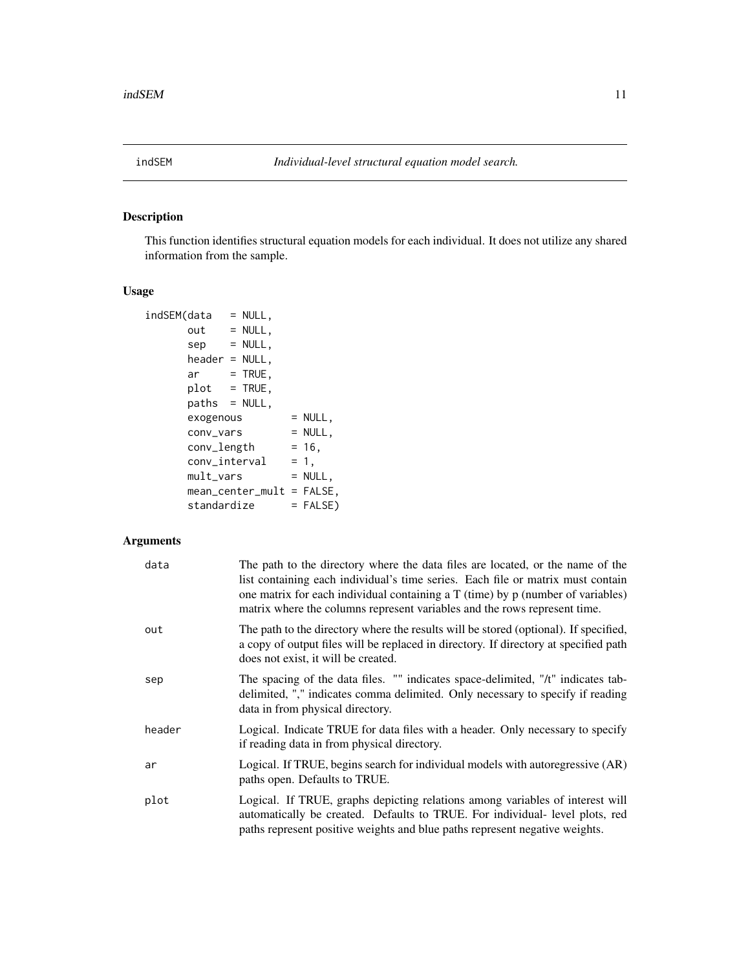<span id="page-10-1"></span><span id="page-10-0"></span>

# Description

This function identifies structural equation models for each individual. It does not utilize any shared information from the sample.

# Usage

| indSEM(data      | $= NULL,$                   |            |
|------------------|-----------------------------|------------|
| $out = NULL,$    |                             |            |
| sep              | $=$ NULL,                   |            |
| header = NULL.   |                             |            |
| ar               | $=$ TRUE,                   |            |
| $plot = TRUE,$   |                             |            |
| $paths = NULL$ , |                             |            |
| exogenous        |                             | $= NULL,$  |
| conv_vars        |                             | $= NULL,$  |
| conv_length      |                             | $= 16.$    |
| conv_interval    |                             | $= 1.$     |
| mult_vars        |                             | $= NULL,$  |
|                  | $mean_center_mult = FALSE,$ |            |
| standardize      |                             | $=$ FALSE) |

# Arguments

| data   | The path to the directory where the data files are located, or the name of the<br>list containing each individual's time series. Each file or matrix must contain<br>one matrix for each individual containing a $T$ (time) by $p$ (number of variables)<br>matrix where the columns represent variables and the rows represent time. |
|--------|---------------------------------------------------------------------------------------------------------------------------------------------------------------------------------------------------------------------------------------------------------------------------------------------------------------------------------------|
| out    | The path to the directory where the results will be stored (optional). If specified,<br>a copy of output files will be replaced in directory. If directory at specified path<br>does not exist, it will be created.                                                                                                                   |
| sep    | The spacing of the data files. "" indicates space-delimited, "/t" indicates tab-<br>delimited, "," indicates comma delimited. Only necessary to specify if reading<br>data in from physical directory.                                                                                                                                |
| header | Logical. Indicate TRUE for data files with a header. Only necessary to specify<br>if reading data in from physical directory.                                                                                                                                                                                                         |
| ar     | Logical. If TRUE, begins search for individual models with autoregressive (AR)<br>paths open. Defaults to TRUE.                                                                                                                                                                                                                       |
| plot   | Logical. If TRUE, graphs depicting relations among variables of interest will<br>automatically be created. Defaults to TRUE. For individual- level plots, red<br>paths represent positive weights and blue paths represent negative weights.                                                                                          |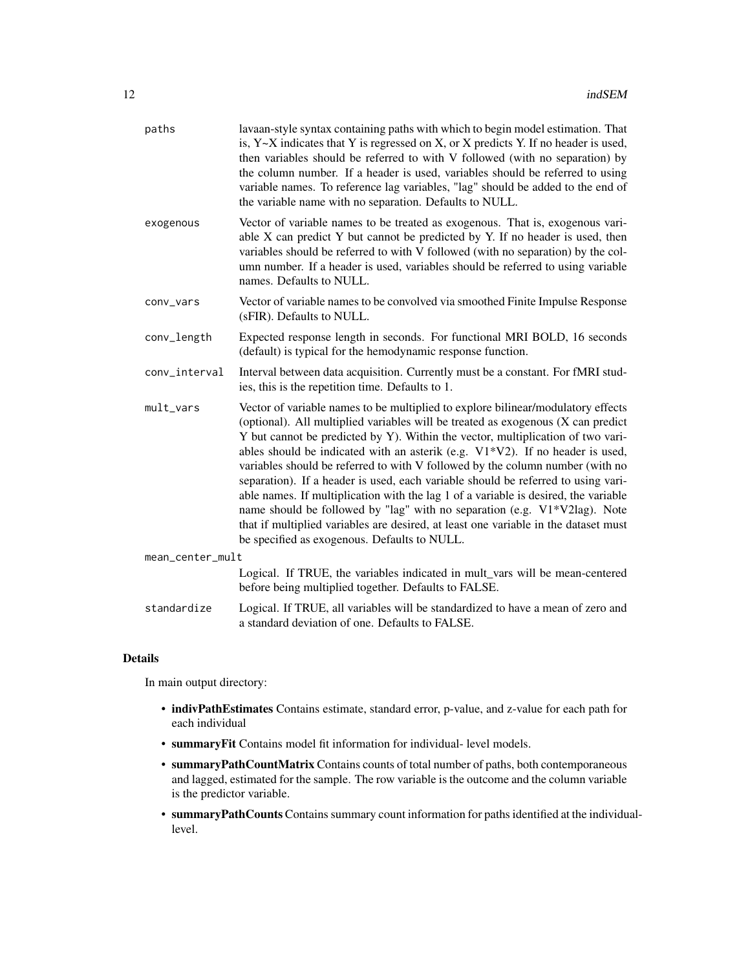| paths            | lavaan-style syntax containing paths with which to begin model estimation. That<br>is, $Y \sim X$ indicates that Y is regressed on X, or X predicts Y. If no header is used,<br>then variables should be referred to with V followed (with no separation) by<br>the column number. If a header is used, variables should be referred to using<br>variable names. To reference lag variables, "lag" should be added to the end of<br>the variable name with no separation. Defaults to NULL.                                                                                                                                                                                                                                                                                                                                  |
|------------------|------------------------------------------------------------------------------------------------------------------------------------------------------------------------------------------------------------------------------------------------------------------------------------------------------------------------------------------------------------------------------------------------------------------------------------------------------------------------------------------------------------------------------------------------------------------------------------------------------------------------------------------------------------------------------------------------------------------------------------------------------------------------------------------------------------------------------|
| exogenous        | Vector of variable names to be treated as exogenous. That is, exogenous vari-<br>able X can predict Y but cannot be predicted by Y. If no header is used, then<br>variables should be referred to with V followed (with no separation) by the col-<br>umn number. If a header is used, variables should be referred to using variable<br>names. Defaults to NULL.                                                                                                                                                                                                                                                                                                                                                                                                                                                            |
| conv_vars        | Vector of variable names to be convolved via smoothed Finite Impulse Response<br>(sFIR). Defaults to NULL.                                                                                                                                                                                                                                                                                                                                                                                                                                                                                                                                                                                                                                                                                                                   |
| conv_length      | Expected response length in seconds. For functional MRI BOLD, 16 seconds<br>(default) is typical for the hemodynamic response function.                                                                                                                                                                                                                                                                                                                                                                                                                                                                                                                                                                                                                                                                                      |
| conv_interval    | Interval between data acquisition. Currently must be a constant. For fMRI stud-<br>ies, this is the repetition time. Defaults to 1.                                                                                                                                                                                                                                                                                                                                                                                                                                                                                                                                                                                                                                                                                          |
| mult_vars        | Vector of variable names to be multiplied to explore bilinear/modulatory effects<br>(optional). All multiplied variables will be treated as exogenous (X can predict<br>Y but cannot be predicted by Y). Within the vector, multiplication of two vari-<br>ables should be indicated with an asterik (e.g. $V1*V2$ ). If no header is used,<br>variables should be referred to with V followed by the column number (with no<br>separation). If a header is used, each variable should be referred to using vari-<br>able names. If multiplication with the lag 1 of a variable is desired, the variable<br>name should be followed by "lag" with no separation (e.g. V1*V2lag). Note<br>that if multiplied variables are desired, at least one variable in the dataset must<br>be specified as exogenous. Defaults to NULL. |
| mean_center_mult |                                                                                                                                                                                                                                                                                                                                                                                                                                                                                                                                                                                                                                                                                                                                                                                                                              |
|                  | Logical. If TRUE, the variables indicated in mult_vars will be mean-centered<br>before being multiplied together. Defaults to FALSE.                                                                                                                                                                                                                                                                                                                                                                                                                                                                                                                                                                                                                                                                                         |
| standardize      | Logical. If TRUE, all variables will be standardized to have a mean of zero and                                                                                                                                                                                                                                                                                                                                                                                                                                                                                                                                                                                                                                                                                                                                              |

# Details

In main output directory:

- indivPathEstimates Contains estimate, standard error, p-value, and z-value for each path for each individual
- summaryFit Contains model fit information for individual- level models.

a standard deviation of one. Defaults to FALSE.

- summaryPathCountMatrix Contains counts of total number of paths, both contemporaneous and lagged, estimated for the sample. The row variable is the outcome and the column variable is the predictor variable.
- summaryPathCounts Contains summary count information for paths identified at the individuallevel.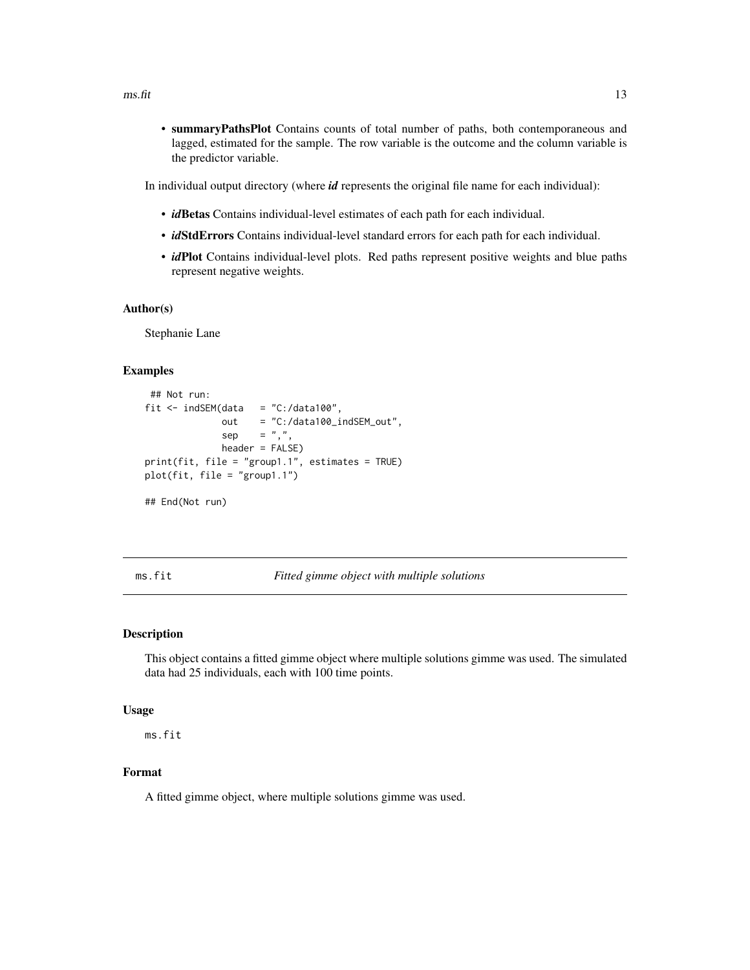<span id="page-12-0"></span>• summaryPathsPlot Contains counts of total number of paths, both contemporaneous and lagged, estimated for the sample. The row variable is the outcome and the column variable is the predictor variable.

In individual output directory (where *id* represents the original file name for each individual):

- *id*Betas Contains individual-level estimates of each path for each individual.
- *id*StdErrors Contains individual-level standard errors for each path for each individual.
- *id*Plot Contains individual-level plots. Red paths represent positive weights and blue paths represent negative weights.

#### Author(s)

Stephanie Lane

# Examples

```
## Not run:
fit \le indSEM(data = "C:/data100",
             out = "C:/data100_indSEM_out",
             sep = ","header = FALSE)
print(fit, file = "group1.1", estimates = TRUE)
plot(fit, file = "group1.1")
## End(Not run)
```
#### ms.fit *Fitted gimme object with multiple solutions*

# **Description**

This object contains a fitted gimme object where multiple solutions gimme was used. The simulated data had 25 individuals, each with 100 time points.

#### Usage

ms.fit

# Format

A fitted gimme object, where multiple solutions gimme was used.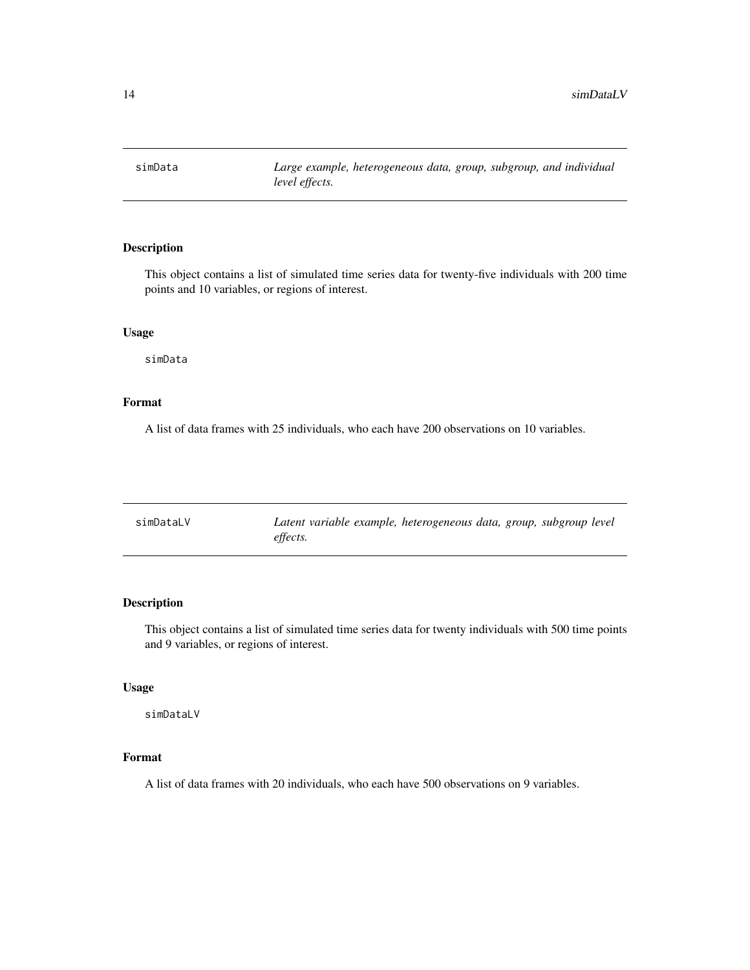<span id="page-13-0"></span>simData *Large example, heterogeneous data, group, subgroup, and individual level effects.*

# Description

This object contains a list of simulated time series data for twenty-five individuals with 200 time points and 10 variables, or regions of interest.

# Usage

simData

# Format

A list of data frames with 25 individuals, who each have 200 observations on 10 variables.

| simDataLV | Latent variable example, heterogeneous data, group, subgroup level |
|-----------|--------------------------------------------------------------------|
|           | effects.                                                           |

# Description

This object contains a list of simulated time series data for twenty individuals with 500 time points and 9 variables, or regions of interest.

# Usage

simDataLV

# Format

A list of data frames with 20 individuals, who each have 500 observations on 9 variables.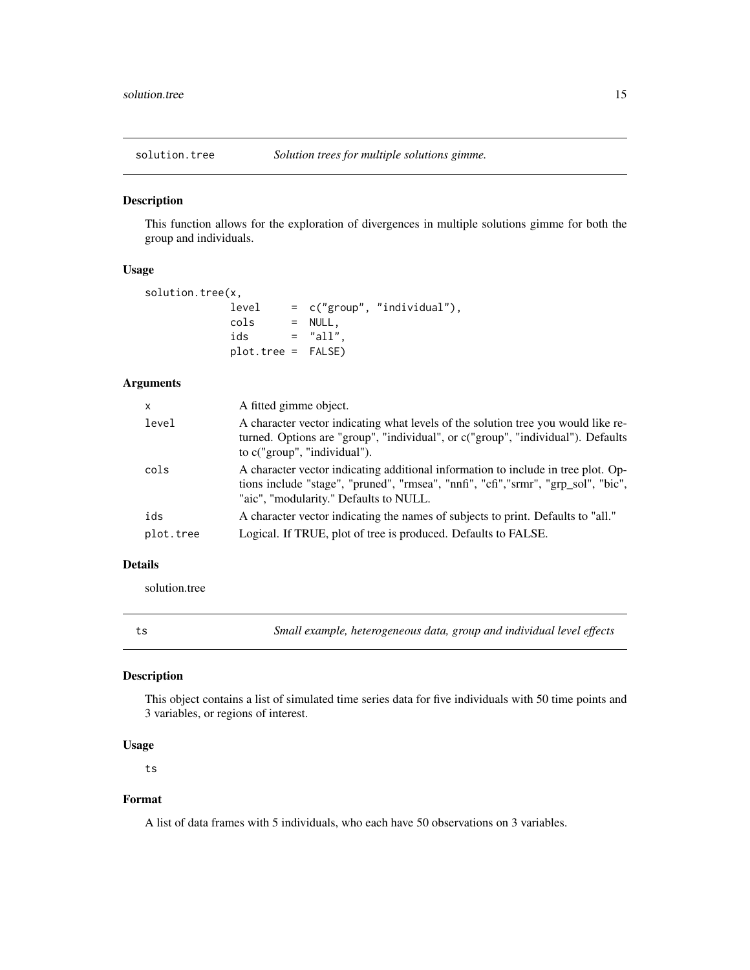<span id="page-14-0"></span>

# Description

This function allows for the exploration of divergences in multiple solutions gimme for both the group and individuals.

# Usage

```
solution.tree(x,
           level = c("group", "individual"),
           cols = NULL,
           ids = "all",
           plot.tree = FALSE)
```
# Arguments

| $\mathsf{x}$ | A fitted gimme object.                                                                                                                                                                                           |
|--------------|------------------------------------------------------------------------------------------------------------------------------------------------------------------------------------------------------------------|
| level        | A character vector indicating what levels of the solution tree you would like re-<br>turned. Options are "group", "individual", or c("group", "individual"). Defaults<br>to c("group", "individual").            |
| cols         | A character vector indicating additional information to include in tree plot. Op-<br>tions include "stage", "pruned", "rmsea", "nnfi", "cfi","srmr", "grp_sol", "bic",<br>"aic", "modularity." Defaults to NULL. |
| ids          | A character vector indicating the names of subjects to print. Defaults to "all."                                                                                                                                 |
| plot.tree    | Logical. If TRUE, plot of tree is produced. Defaults to FALSE.                                                                                                                                                   |

# Details

solution.tree

ts *Small example, heterogeneous data, group and individual level effects*

# Description

This object contains a list of simulated time series data for five individuals with 50 time points and 3 variables, or regions of interest.

# Usage

ts

# Format

A list of data frames with 5 individuals, who each have 50 observations on 3 variables.